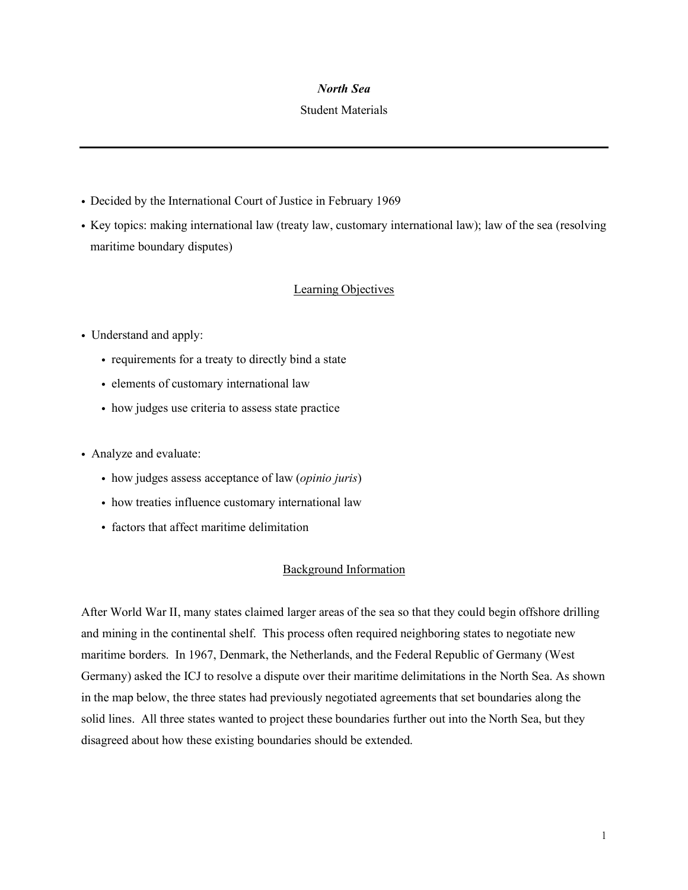## *North Sea*

#### Student Materials

- ! Decided by the International Court of Justice in February 1969
- ! Key topics: making international law (treaty law, customary international law); law of the sea (resolving maritime boundary disputes)

### Learning Objectives

- Understand and apply:
	- ! requirements for a treaty to directly bind a state
	- ! elements of customary international law
	- ! how judges use criteria to assess state practice
- ! Analyze and evaluate:
	- ! how judges assess acceptance of law (*opinio juris*)
	- ! how treaties influence customary international law
	- factors that affect maritime delimitation

## Background Information

After World War II, many states claimed larger areas of the sea so that they could begin offshore drilling and mining in the continental shelf. This process often required neighboring states to negotiate new maritime borders. In 1967, Denmark, the Netherlands, and the Federal Republic of Germany (West Germany) asked the ICJ to resolve a dispute over their maritime delimitations in the North Sea. As shown in the map below, the three states had previously negotiated agreements that set boundaries along the solid lines. All three states wanted to project these boundaries further out into the North Sea, but they disagreed about how these existing boundaries should be extended.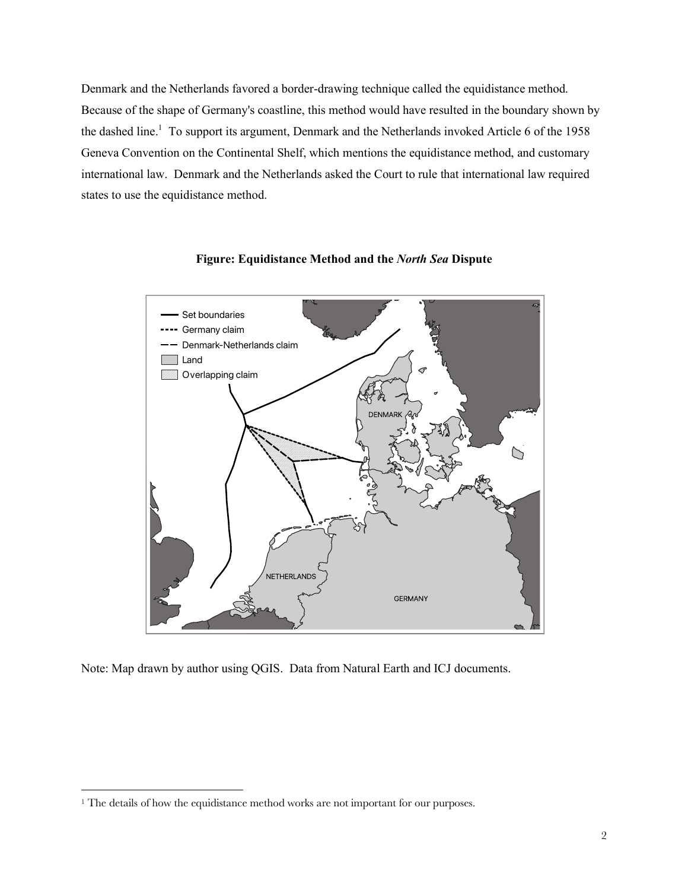Denmark and the Netherlands favored a border-drawing technique called the equidistance method. Because of the shape of Germany's coastline, this method would have resulted in the boundary shown by the dashed line.<sup>1</sup> To support its argument, Denmark and the Netherlands invoked Article 6 of the 1958 Geneva Convention on the Continental Shelf, which mentions the equidistance method, and customary international law. Denmark and the Netherlands asked the Court to rule that international law required states to use the equidistance method.



## **Figure: Equidistance Method and the** *North Sea* **Dispute**

Note: Map drawn by author using QGIS. Data from Natural Earth and ICJ documents.

<sup>&</sup>lt;sup>1</sup> The details of how the equidistance method works are not important for our purposes.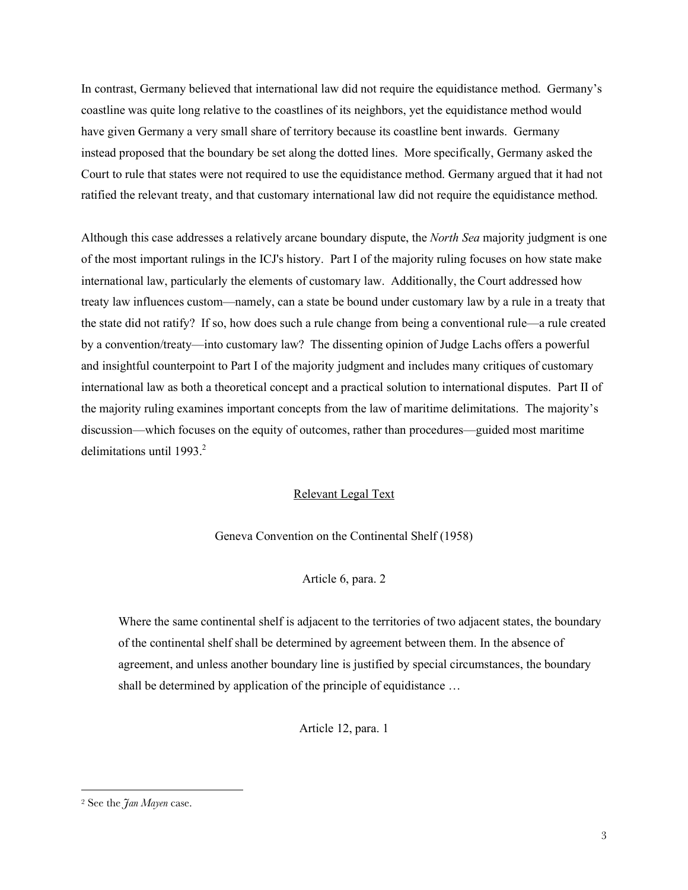In contrast, Germany believed that international law did not require the equidistance method. Germany's coastline was quite long relative to the coastlines of its neighbors, yet the equidistance method would have given Germany a very small share of territory because its coastline bent inwards. Germany instead proposed that the boundary be set along the dotted lines. More specifically, Germany asked the Court to rule that states were not required to use the equidistance method. Germany argued that it had not ratified the relevant treaty, and that customary international law did not require the equidistance method.

Although this case addresses a relatively arcane boundary dispute, the *North Sea* majority judgment is one of the most important rulings in the ICJ's history. Part I of the majority ruling focuses on how state make international law, particularly the elements of customary law. Additionally, the Court addressed how treaty law influences custom—namely, can a state be bound under customary law by a rule in a treaty that the state did not ratify? If so, how does such a rule change from being a conventional rule—a rule created by a convention/treaty—into customary law? The dissenting opinion of Judge Lachs offers a powerful and insightful counterpoint to Part I of the majority judgment and includes many critiques of customary international law as both a theoretical concept and a practical solution to international disputes. Part II of the majority ruling examines important concepts from the law of maritime delimitations. The majority's discussion—which focuses on the equity of outcomes, rather than procedures—guided most maritime delimitations until  $1993.<sup>2</sup>$ 

# Relevant Legal Text

Geneva Convention on the Continental Shelf (1958)

## Article 6, para. 2

Where the same continental shelf is adjacent to the territories of two adjacent states, the boundary of the continental shelf shall be determined by agreement between them. In the absence of agreement, and unless another boundary line is justified by special circumstances, the boundary shall be determined by application of the principle of equidistance …

Article 12, para. 1

<sup>2</sup> See the *Jan Mayen* case.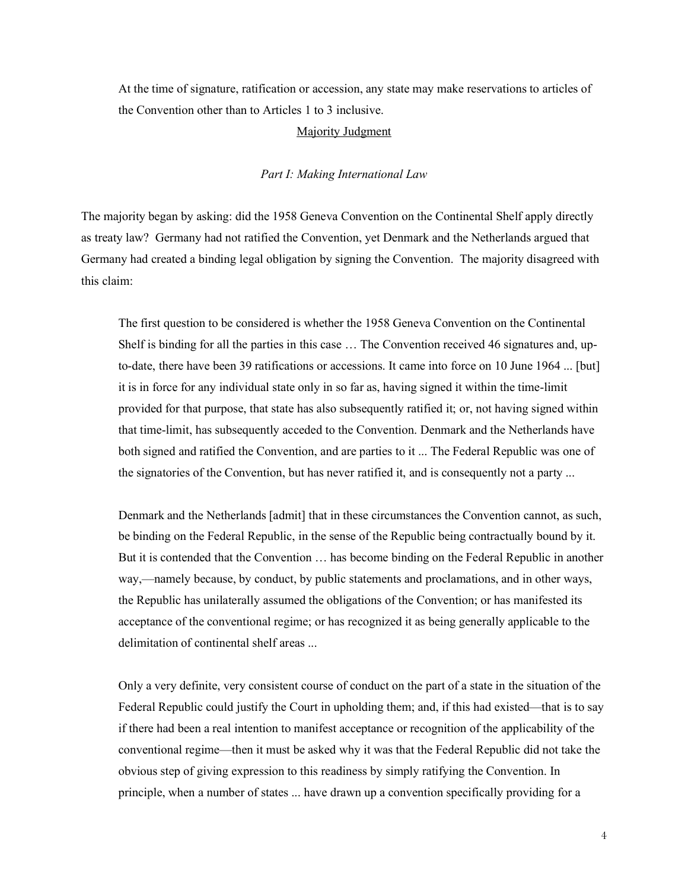At the time of signature, ratification or accession, any state may make reservations to articles of the Convention other than to Articles 1 to 3 inclusive.

## Majority Judgment

#### *Part I: Making International Law*

The majority began by asking: did the 1958 Geneva Convention on the Continental Shelf apply directly as treaty law? Germany had not ratified the Convention, yet Denmark and the Netherlands argued that Germany had created a binding legal obligation by signing the Convention. The majority disagreed with this claim:

The first question to be considered is whether the 1958 Geneva Convention on the Continental Shelf is binding for all the parties in this case … The Convention received 46 signatures and, upto-date, there have been 39 ratifications or accessions. It came into force on 10 June 1964 ... [but] it is in force for any individual state only in so far as, having signed it within the time-limit provided for that purpose, that state has also subsequently ratified it; or, not having signed within that time-limit, has subsequently acceded to the Convention. Denmark and the Netherlands have both signed and ratified the Convention, and are parties to it ... The Federal Republic was one of the signatories of the Convention, but has never ratified it, and is consequently not a party ...

Denmark and the Netherlands [admit] that in these circumstances the Convention cannot, as such, be binding on the Federal Republic, in the sense of the Republic being contractually bound by it. But it is contended that the Convention … has become binding on the Federal Republic in another way,—namely because, by conduct, by public statements and proclamations, and in other ways, the Republic has unilaterally assumed the obligations of the Convention; or has manifested its acceptance of the conventional regime; or has recognized it as being generally applicable to the delimitation of continental shelf areas ...

Only a very definite, very consistent course of conduct on the part of a state in the situation of the Federal Republic could justify the Court in upholding them; and, if this had existed—that is to say if there had been a real intention to manifest acceptance or recognition of the applicability of the conventional regime—then it must be asked why it was that the Federal Republic did not take the obvious step of giving expression to this readiness by simply ratifying the Convention. In principle, when a number of states ... have drawn up a convention specifically providing for a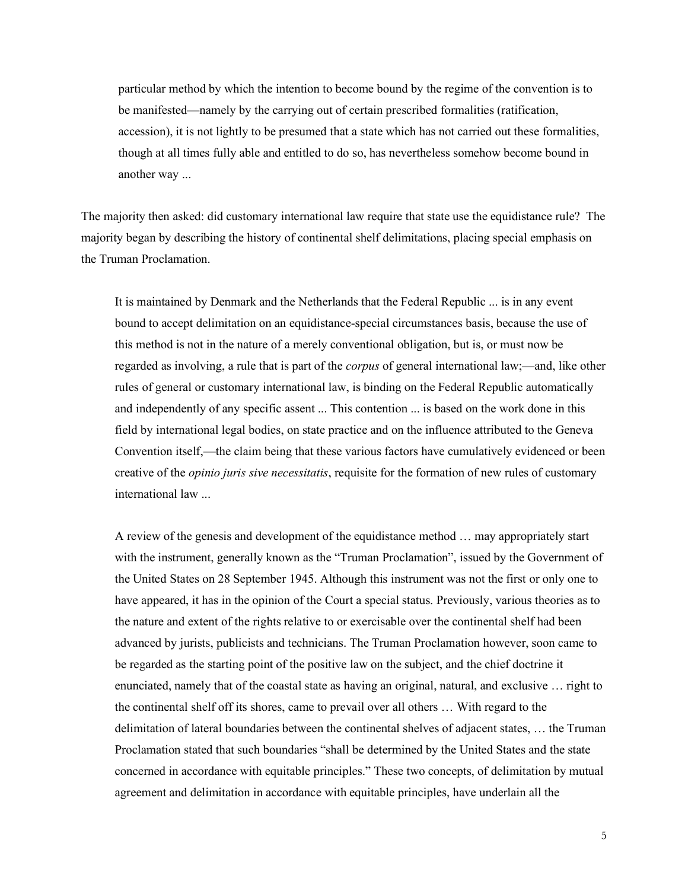particular method by which the intention to become bound by the regime of the convention is to be manifested—namely by the carrying out of certain prescribed formalities (ratification, accession), it is not lightly to be presumed that a state which has not carried out these formalities, though at all times fully able and entitled to do so, has nevertheless somehow become bound in another way ...

The majority then asked: did customary international law require that state use the equidistance rule? The majority began by describing the history of continental shelf delimitations, placing special emphasis on the Truman Proclamation.

It is maintained by Denmark and the Netherlands that the Federal Republic ... is in any event bound to accept delimitation on an equidistance-special circumstances basis, because the use of this method is not in the nature of a merely conventional obligation, but is, or must now be regarded as involving, a rule that is part of the *corpus* of general international law;—and, like other rules of general or customary international law, is binding on the Federal Republic automatically and independently of any specific assent ... This contention ... is based on the work done in this field by international legal bodies, on state practice and on the influence attributed to the Geneva Convention itself,—the claim being that these various factors have cumulatively evidenced or been creative of the *opinio juris sive necessitatis*, requisite for the formation of new rules of customary international law ...

A review of the genesis and development of the equidistance method … may appropriately start with the instrument, generally known as the "Truman Proclamation", issued by the Government of the United States on 28 September 1945. Although this instrument was not the first or only one to have appeared, it has in the opinion of the Court a special status. Previously, various theories as to the nature and extent of the rights relative to or exercisable over the continental shelf had been advanced by jurists, publicists and technicians. The Truman Proclamation however, soon came to be regarded as the starting point of the positive law on the subject, and the chief doctrine it enunciated, namely that of the coastal state as having an original, natural, and exclusive … right to the continental shelf off its shores, came to prevail over all others … With regard to the delimitation of lateral boundaries between the continental shelves of adjacent states, … the Truman Proclamation stated that such boundaries "shall be determined by the United States and the state concerned in accordance with equitable principles." These two concepts, of delimitation by mutual agreement and delimitation in accordance with equitable principles, have underlain all the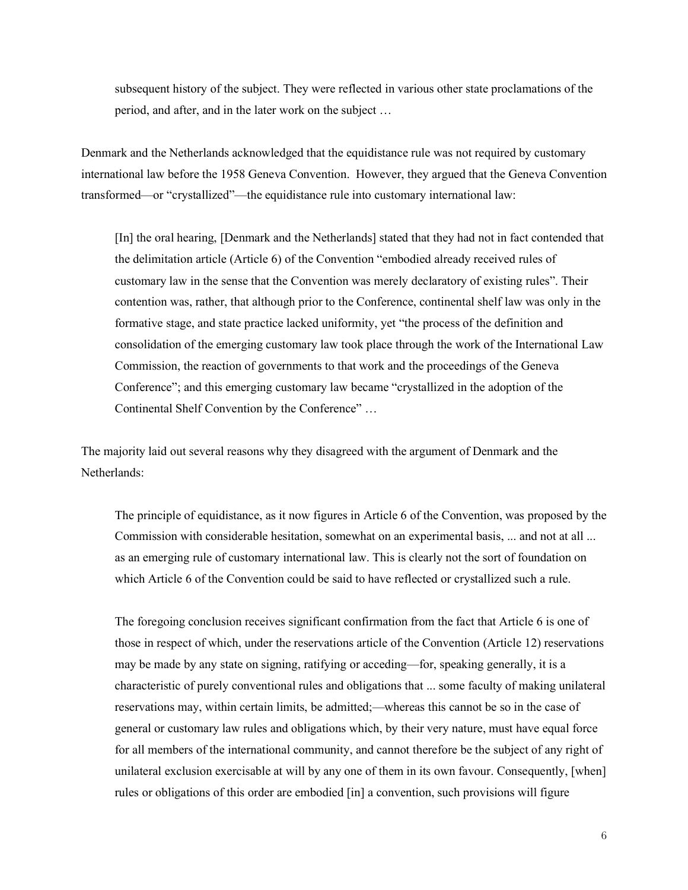subsequent history of the subject. They were reflected in various other state proclamations of the period, and after, and in the later work on the subject …

Denmark and the Netherlands acknowledged that the equidistance rule was not required by customary international law before the 1958 Geneva Convention. However, they argued that the Geneva Convention transformed—or "crystallized"—the equidistance rule into customary international law:

[In] the oral hearing, [Denmark and the Netherlands] stated that they had not in fact contended that the delimitation article (Article 6) of the Convention "embodied already received rules of customary law in the sense that the Convention was merely declaratory of existing rules". Their contention was, rather, that although prior to the Conference, continental shelf law was only in the formative stage, and state practice lacked uniformity, yet "the process of the definition and consolidation of the emerging customary law took place through the work of the International Law Commission, the reaction of governments to that work and the proceedings of the Geneva Conference"; and this emerging customary law became "crystallized in the adoption of the Continental Shelf Convention by the Conference" …

The majority laid out several reasons why they disagreed with the argument of Denmark and the Netherlands:

The principle of equidistance, as it now figures in Article 6 of the Convention, was proposed by the Commission with considerable hesitation, somewhat on an experimental basis, ... and not at all ... as an emerging rule of customary international law. This is clearly not the sort of foundation on which Article 6 of the Convention could be said to have reflected or crystallized such a rule.

The foregoing conclusion receives significant confirmation from the fact that Article 6 is one of those in respect of which, under the reservations article of the Convention (Article 12) reservations may be made by any state on signing, ratifying or acceding—for, speaking generally, it is a characteristic of purely conventional rules and obligations that ... some faculty of making unilateral reservations may, within certain limits, be admitted;—whereas this cannot be so in the case of general or customary law rules and obligations which, by their very nature, must have equal force for all members of the international community, and cannot therefore be the subject of any right of unilateral exclusion exercisable at will by any one of them in its own favour. Consequently, [when] rules or obligations of this order are embodied [in] a convention, such provisions will figure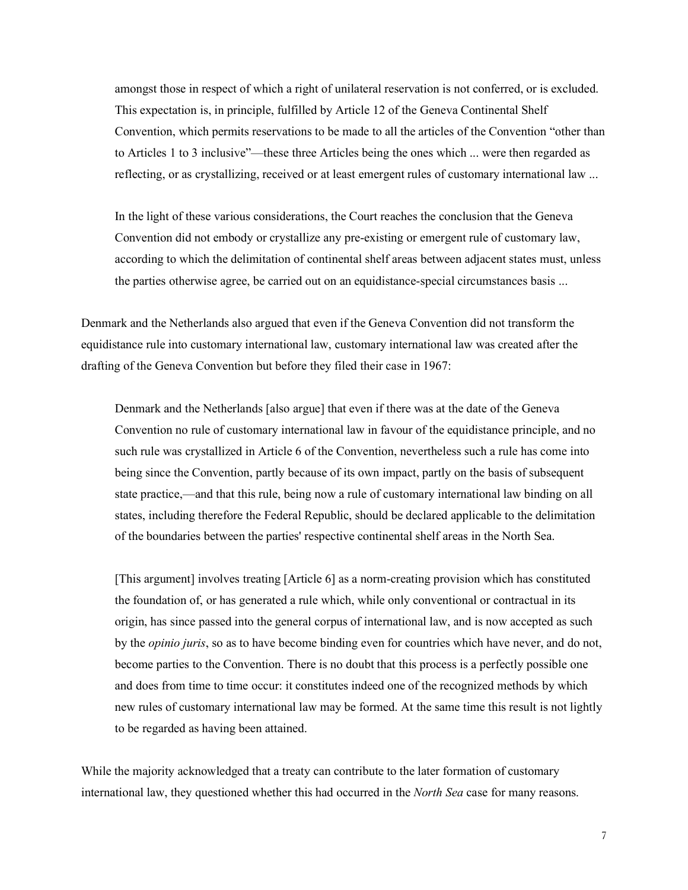amongst those in respect of which a right of unilateral reservation is not conferred, or is excluded. This expectation is, in principle, fulfilled by Article 12 of the Geneva Continental Shelf Convention, which permits reservations to be made to all the articles of the Convention "other than to Articles 1 to 3 inclusive"—these three Articles being the ones which ... were then regarded as reflecting, or as crystallizing, received or at least emergent rules of customary international law ...

In the light of these various considerations, the Court reaches the conclusion that the Geneva Convention did not embody or crystallize any pre-existing or emergent rule of customary law, according to which the delimitation of continental shelf areas between adjacent states must, unless the parties otherwise agree, be carried out on an equidistance-special circumstances basis ...

Denmark and the Netherlands also argued that even if the Geneva Convention did not transform the equidistance rule into customary international law, customary international law was created after the drafting of the Geneva Convention but before they filed their case in 1967:

Denmark and the Netherlands [also argue] that even if there was at the date of the Geneva Convention no rule of customary international law in favour of the equidistance principle, and no such rule was crystallized in Article 6 of the Convention, nevertheless such a rule has come into being since the Convention, partly because of its own impact, partly on the basis of subsequent state practice,—and that this rule, being now a rule of customary international law binding on all states, including therefore the Federal Republic, should be declared applicable to the delimitation of the boundaries between the parties' respective continental shelf areas in the North Sea.

[This argument] involves treating [Article 6] as a norm-creating provision which has constituted the foundation of, or has generated a rule which, while only conventional or contractual in its origin, has since passed into the general corpus of international law, and is now accepted as such by the *opinio juris*, so as to have become binding even for countries which have never, and do not, become parties to the Convention. There is no doubt that this process is a perfectly possible one and does from time to time occur: it constitutes indeed one of the recognized methods by which new rules of customary international law may be formed. At the same time this result is not lightly to be regarded as having been attained.

While the majority acknowledged that a treaty can contribute to the later formation of customary international law, they questioned whether this had occurred in the *North Sea* case for many reasons.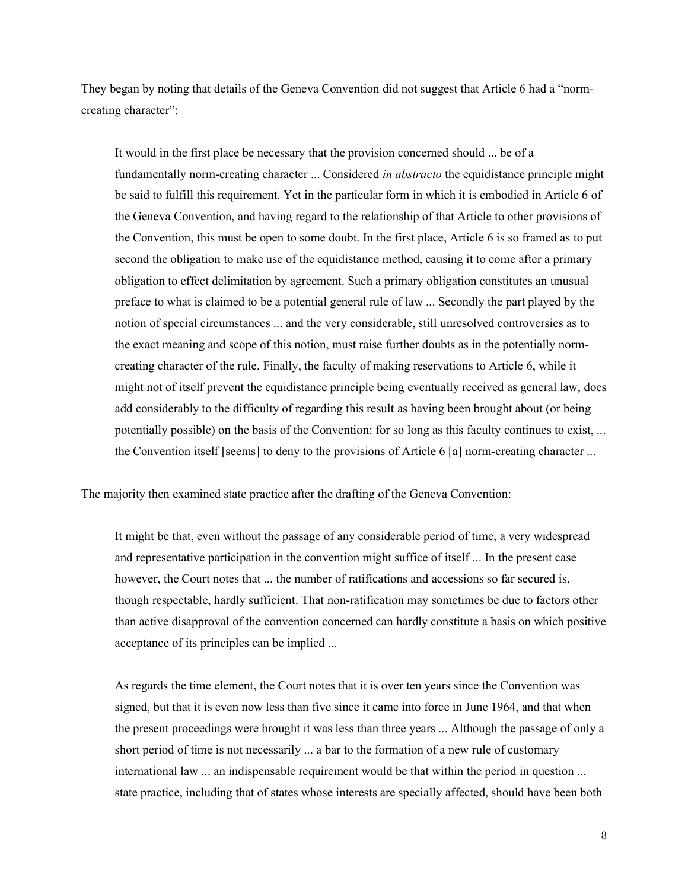They began by noting that details of the Geneva Convention did not suggest that Article 6 had a "normcreating character":

It would in the first place be necessary that the provision concerned should ... be of a fundamentally norm-creating character ... Considered *in abstracto* the equidistance principle might be said to fulfill this requirement. Yet in the particular form in which it is embodied in Article 6 of the Geneva Convention, and having regard to the relationship of that Article to other provisions of the Convention, this must be open to some doubt. In the first place, Article 6 is so framed as to put second the obligation to make use of the equidistance method, causing it to come after a primary obligation to effect delimitation by agreement. Such a primary obligation constitutes an unusual preface to what is claimed to be a potential general rule of law ... Secondly the part played by the notion of special circumstances ... and the very considerable, still unresolved controversies as to the exact meaning and scope of this notion, must raise further doubts as in the potentially normcreating character of the rule. Finally, the faculty of making reservations to Article 6, while it might not of itself prevent the equidistance principle being eventually received as general law, does add considerably to the difficulty of regarding this result as having been brought about (or being potentially possible) on the basis of the Convention: for so long as this faculty continues to exist, ... the Convention itself [seems] to deny to the provisions of Article 6 [a] norm-creating character ...

The majority then examined state practice after the drafting of the Geneva Convention:

It might be that, even without the passage of any considerable period of time, a very widespread and representative participation in the convention might suffice of itself ... In the present case however, the Court notes that ... the number of ratifications and accessions so far secured is, though respectable, hardly sufficient. That non-ratification may sometimes be due to factors other than active disapproval of the convention concerned can hardly constitute a basis on which positive acceptance of its principles can be implied ...

As regards the time element, the Court notes that it is over ten years since the Convention was signed, but that it is even now less than five since it came into force in June 1964, and that when the present proceedings were brought it was less than three years ... Although the passage of only a short period of time is not necessarily ... a bar to the formation of a new rule of customary international law ... an indispensable requirement would be that within the period in question ... state practice, including that of states whose interests are specially affected, should have been both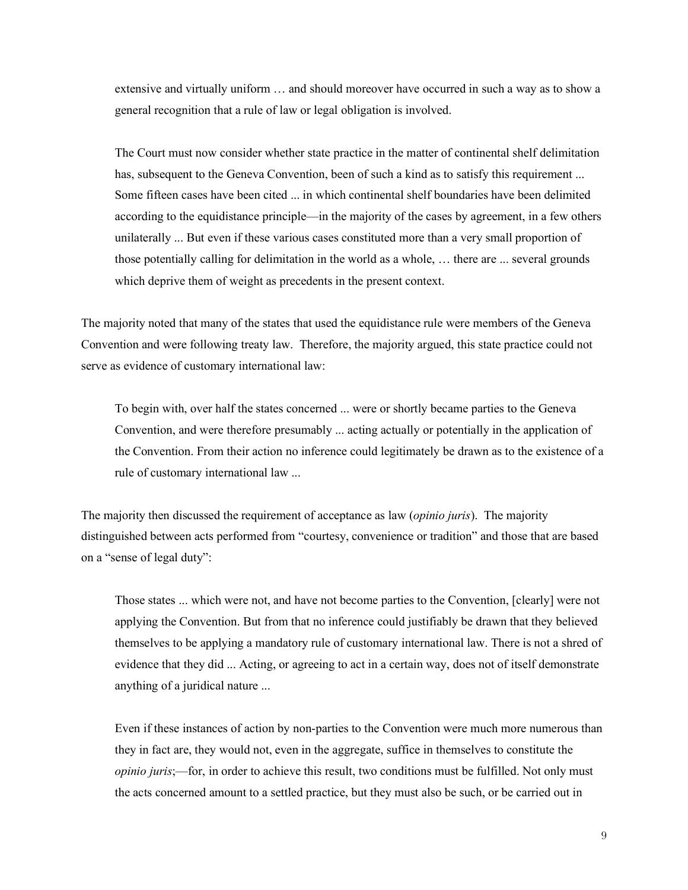extensive and virtually uniform … and should moreover have occurred in such a way as to show a general recognition that a rule of law or legal obligation is involved.

The Court must now consider whether state practice in the matter of continental shelf delimitation has, subsequent to the Geneva Convention, been of such a kind as to satisfy this requirement ... Some fifteen cases have been cited ... in which continental shelf boundaries have been delimited according to the equidistance principle—in the majority of the cases by agreement, in a few others unilaterally ... But even if these various cases constituted more than a very small proportion of those potentially calling for delimitation in the world as a whole, … there are ... several grounds which deprive them of weight as precedents in the present context.

The majority noted that many of the states that used the equidistance rule were members of the Geneva Convention and were following treaty law. Therefore, the majority argued, this state practice could not serve as evidence of customary international law:

To begin with, over half the states concerned ... were or shortly became parties to the Geneva Convention, and were therefore presumably ... acting actually or potentially in the application of the Convention. From their action no inference could legitimately be drawn as to the existence of a rule of customary international law ...

The majority then discussed the requirement of acceptance as law (*opinio juris*). The majority distinguished between acts performed from "courtesy, convenience or tradition" and those that are based on a "sense of legal duty":

Those states ... which were not, and have not become parties to the Convention, [clearly] were not applying the Convention. But from that no inference could justifiably be drawn that they believed themselves to be applying a mandatory rule of customary international law. There is not a shred of evidence that they did ... Acting, or agreeing to act in a certain way, does not of itself demonstrate anything of a juridical nature ...

Even if these instances of action by non-parties to the Convention were much more numerous than they in fact are, they would not, even in the aggregate, suffice in themselves to constitute the *opinio juris*;—for, in order to achieve this result, two conditions must be fulfilled. Not only must the acts concerned amount to a settled practice, but they must also be such, or be carried out in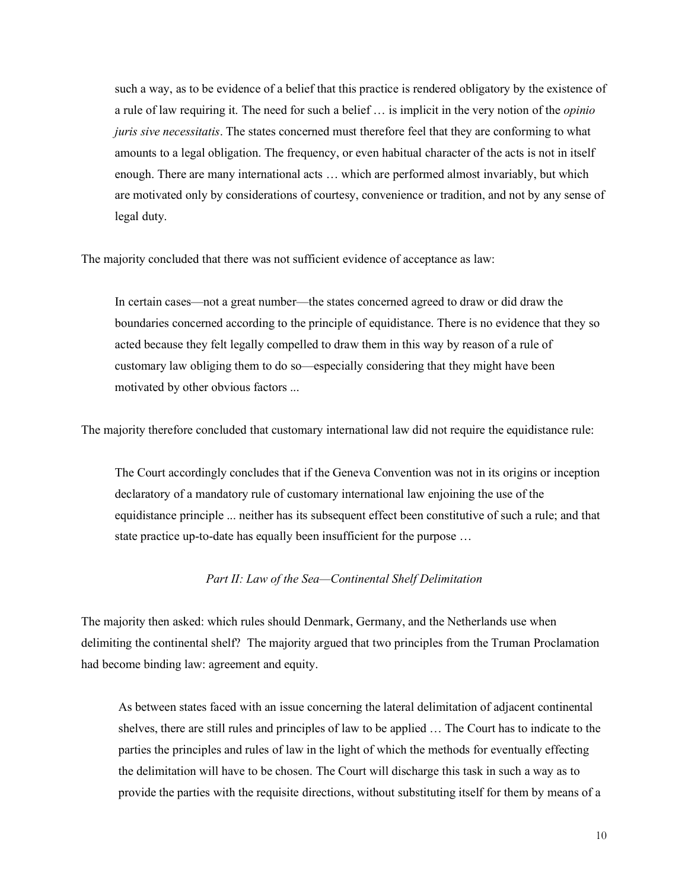such a way, as to be evidence of a belief that this practice is rendered obligatory by the existence of a rule of law requiring it. The need for such a belief … is implicit in the very notion of the *opinio juris sive necessitatis*. The states concerned must therefore feel that they are conforming to what amounts to a legal obligation. The frequency, or even habitual character of the acts is not in itself enough. There are many international acts … which are performed almost invariably, but which are motivated only by considerations of courtesy, convenience or tradition, and not by any sense of legal duty.

The majority concluded that there was not sufficient evidence of acceptance as law:

In certain cases—not a great number—the states concerned agreed to draw or did draw the boundaries concerned according to the principle of equidistance. There is no evidence that they so acted because they felt legally compelled to draw them in this way by reason of a rule of customary law obliging them to do so—especially considering that they might have been motivated by other obvious factors ...

The majority therefore concluded that customary international law did not require the equidistance rule:

The Court accordingly concludes that if the Geneva Convention was not in its origins or inception declaratory of a mandatory rule of customary international law enjoining the use of the equidistance principle ... neither has its subsequent effect been constitutive of such a rule; and that state practice up-to-date has equally been insufficient for the purpose …

#### *Part II: Law of the Sea—Continental Shelf Delimitation*

The majority then asked: which rules should Denmark, Germany, and the Netherlands use when delimiting the continental shelf? The majority argued that two principles from the Truman Proclamation had become binding law: agreement and equity.

As between states faced with an issue concerning the lateral delimitation of adjacent continental shelves, there are still rules and principles of law to be applied … The Court has to indicate to the parties the principles and rules of law in the light of which the methods for eventually effecting the delimitation will have to be chosen. The Court will discharge this task in such a way as to provide the parties with the requisite directions, without substituting itself for them by means of a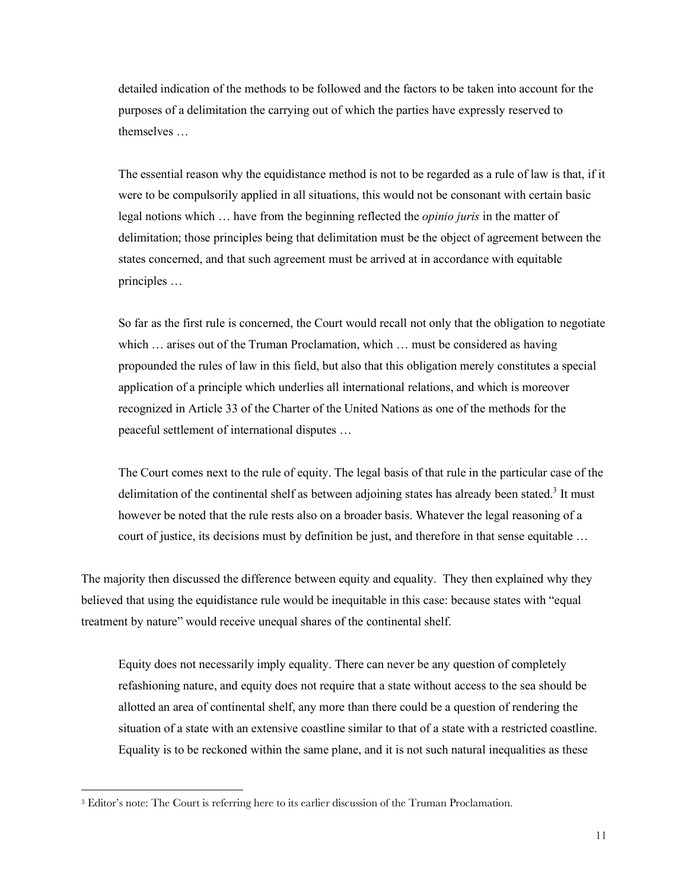detailed indication of the methods to be followed and the factors to be taken into account for the purposes of a delimitation the carrying out of which the parties have expressly reserved to themselves …

The essential reason why the equidistance method is not to be regarded as a rule of law is that, if it were to be compulsorily applied in all situations, this would not be consonant with certain basic legal notions which … have from the beginning reflected the *opinio juris* in the matter of delimitation; those principles being that delimitation must be the object of agreement between the states concerned, and that such agreement must be arrived at in accordance with equitable principles …

So far as the first rule is concerned, the Court would recall not only that the obligation to negotiate which  $\ldots$  arises out of the Truman Proclamation, which  $\ldots$  must be considered as having propounded the rules of law in this field, but also that this obligation merely constitutes a special application of a principle which underlies all international relations, and which is moreover recognized in Article 33 of the Charter of the United Nations as one of the methods for the peaceful settlement of international disputes …

The Court comes next to the rule of equity. The legal basis of that rule in the particular case of the delimitation of the continental shelf as between adjoining states has already been stated.<sup>3</sup> It must however be noted that the rule rests also on a broader basis. Whatever the legal reasoning of a court of justice, its decisions must by definition be just, and therefore in that sense equitable ...

The majority then discussed the difference between equity and equality. They then explained why they believed that using the equidistance rule would be inequitable in this case: because states with "equal treatment by nature" would receive unequal shares of the continental shelf.

Equity does not necessarily imply equality. There can never be any question of completely refashioning nature, and equity does not require that a state without access to the sea should be allotted an area of continental shelf, any more than there could be a question of rendering the situation of a state with an extensive coastline similar to that of a state with a restricted coastline. Equality is to be reckoned within the same plane, and it is not such natural inequalities as these

<sup>3</sup> Editor's note: The Court is referring here to its earlier discussion of the Truman Proclamation.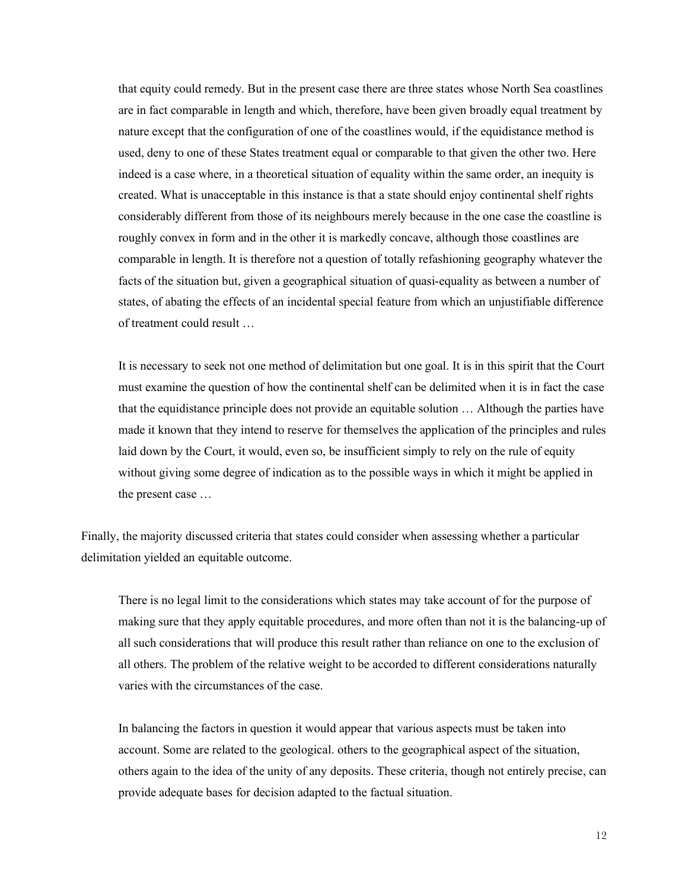that equity could remedy. But in the present case there are three states whose North Sea coastlines are in fact comparable in length and which, therefore, have been given broadly equal treatment by nature except that the configuration of one of the coastlines would, if the equidistance method is used, deny to one of these States treatment equal or comparable to that given the other two. Here indeed is a case where, in a theoretical situation of equality within the same order, an inequity is created. What is unacceptable in this instance is that a state should enjoy continental shelf rights considerably different from those of its neighbours merely because in the one case the coastline is roughly convex in form and in the other it is markedly concave, although those coastlines are comparable in length. It is therefore not a question of totally refashioning geography whatever the facts of the situation but, given a geographical situation of quasi-equality as between a number of states, of abating the effects of an incidental special feature from which an unjustifiable difference of treatment could result …

It is necessary to seek not one method of delimitation but one goal. It is in this spirit that the Court must examine the question of how the continental shelf can be delimited when it is in fact the case that the equidistance principle does not provide an equitable solution … Although the parties have made it known that they intend to reserve for themselves the application of the principles and rules laid down by the Court, it would, even so, be insufficient simply to rely on the rule of equity without giving some degree of indication as to the possible ways in which it might be applied in the present case …

Finally, the majority discussed criteria that states could consider when assessing whether a particular delimitation yielded an equitable outcome.

There is no legal limit to the considerations which states may take account of for the purpose of making sure that they apply equitable procedures, and more often than not it is the balancing-up of all such considerations that will produce this result rather than reliance on one to the exclusion of all others. The problem of the relative weight to be accorded to different considerations naturally varies with the circumstances of the case.

In balancing the factors in question it would appear that various aspects must be taken into account. Some are related to the geological. others to the geographical aspect of the situation, others again to the idea of the unity of any deposits. These criteria, though not entirely precise, can provide adequate bases for decision adapted to the factual situation.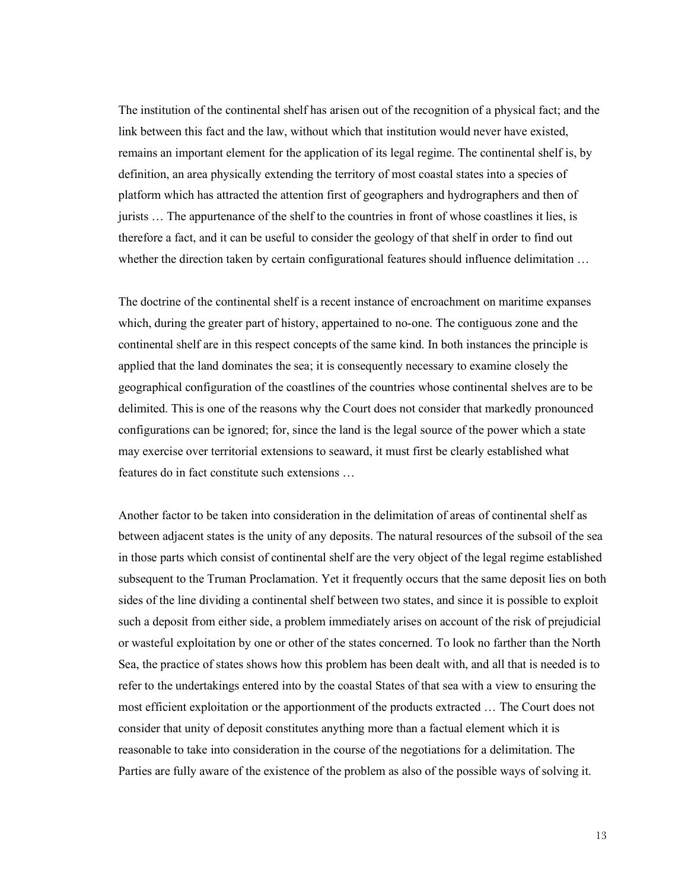The institution of the continental shelf has arisen out of the recognition of a physical fact; and the link between this fact and the law, without which that institution would never have existed, remains an important element for the application of its legal regime. The continental shelf is, by definition, an area physically extending the territory of most coastal states into a species of platform which has attracted the attention first of geographers and hydrographers and then of jurists … The appurtenance of the shelf to the countries in front of whose coastlines it lies, is therefore a fact, and it can be useful to consider the geology of that shelf in order to find out whether the direction taken by certain configurational features should influence delimitation ...

The doctrine of the continental shelf is a recent instance of encroachment on maritime expanses which, during the greater part of history, appertained to no-one. The contiguous zone and the continental shelf are in this respect concepts of the same kind. In both instances the principle is applied that the land dominates the sea; it is consequently necessary to examine closely the geographical configuration of the coastlines of the countries whose continental shelves are to be delimited. This is one of the reasons why the Court does not consider that markedly pronounced configurations can be ignored; for, since the land is the legal source of the power which a state may exercise over territorial extensions to seaward, it must first be clearly established what features do in fact constitute such extensions …

Another factor to be taken into consideration in the delimitation of areas of continental shelf as between adjacent states is the unity of any deposits. The natural resources of the subsoil of the sea in those parts which consist of continental shelf are the very object of the legal regime established subsequent to the Truman Proclamation. Yet it frequently occurs that the same deposit lies on both sides of the line dividing a continental shelf between two states, and since it is possible to exploit such a deposit from either side, a problem immediately arises on account of the risk of prejudicial or wasteful exploitation by one or other of the states concerned. To look no farther than the North Sea, the practice of states shows how this problem has been dealt with, and all that is needed is to refer to the undertakings entered into by the coastal States of that sea with a view to ensuring the most efficient exploitation or the apportionment of the products extracted … The Court does not consider that unity of deposit constitutes anything more than a factual element which it is reasonable to take into consideration in the course of the negotiations for a delimitation. The Parties are fully aware of the existence of the problem as also of the possible ways of solving it.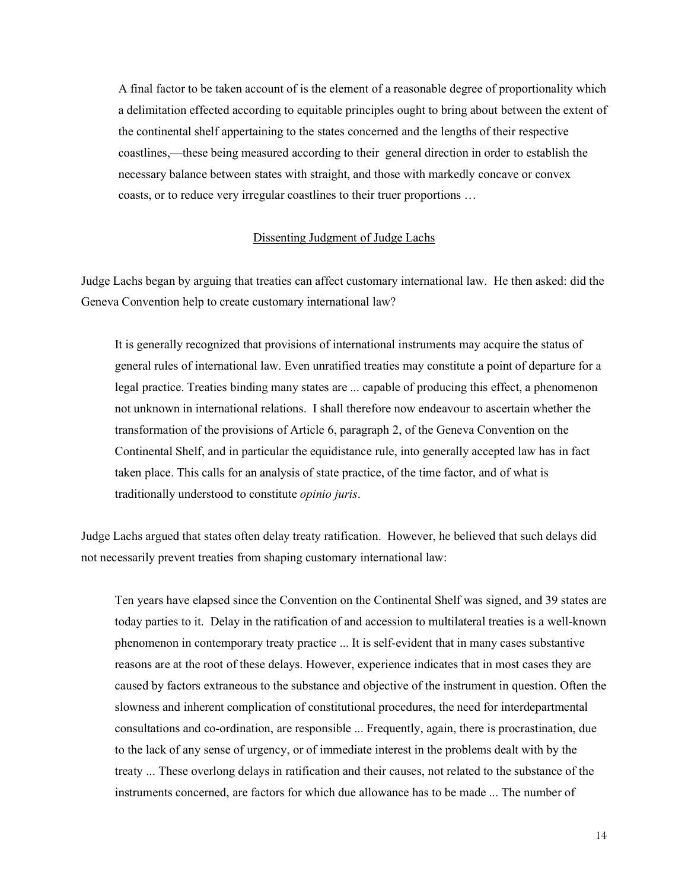A final factor to be taken account of is the element of a reasonable degree of proportionality which a delimitation effected according to equitable principles ought to bring about between the extent of the continental shelf appertaining to the states concerned and the lengths of their respective coastlines,—these being measured according to their general direction in order to establish the necessary balance between states with straight, and those with markedly concave or convex coasts, or to reduce very irregular coastlines to their truer proportions …

#### Dissenting Judgment of Judge Lachs

Judge Lachs began by arguing that treaties can affect customary international law. He then asked: did the Geneva Convention help to create customary international law?

It is generally recognized that provisions of international instruments may acquire the status of general rules of international law. Even unratified treaties may constitute a point of departure for a legal practice. Treaties binding many states are ... capable of producing this effect, a phenomenon not unknown in international relations. I shall therefore now endeavour to ascertain whether the transformation of the provisions of Article 6, paragraph 2, of the Geneva Convention on the Continental Shelf, and in particular the equidistance rule, into generally accepted law has in fact taken place. This calls for an analysis of state practice, of the time factor, and of what is traditionally understood to constitute *opinio juris*.

Judge Lachs argued that states often delay treaty ratification. However, he believed that such delays did not necessarily prevent treaties from shaping customary international law:

Ten years have elapsed since the Convention on the Continental Shelf was signed, and 39 states are today parties to it. Delay in the ratification of and accession to multilateral treaties is a well-known phenomenon in contemporary treaty practice ... It is self-evident that in many cases substantive reasons are at the root of these delays. However, experience indicates that in most cases they are caused by factors extraneous to the substance and objective of the instrument in question. Often the slowness and inherent complication of constitutional procedures, the need for interdepartmental consultations and co-ordination, are responsible ... Frequently, again, there is procrastination, due to the lack of any sense of urgency, or of immediate interest in the problems dealt with by the treaty ... These overlong delays in ratification and their causes, not related to the substance of the instruments concerned, are factors for which due allowance has to be made ... The number of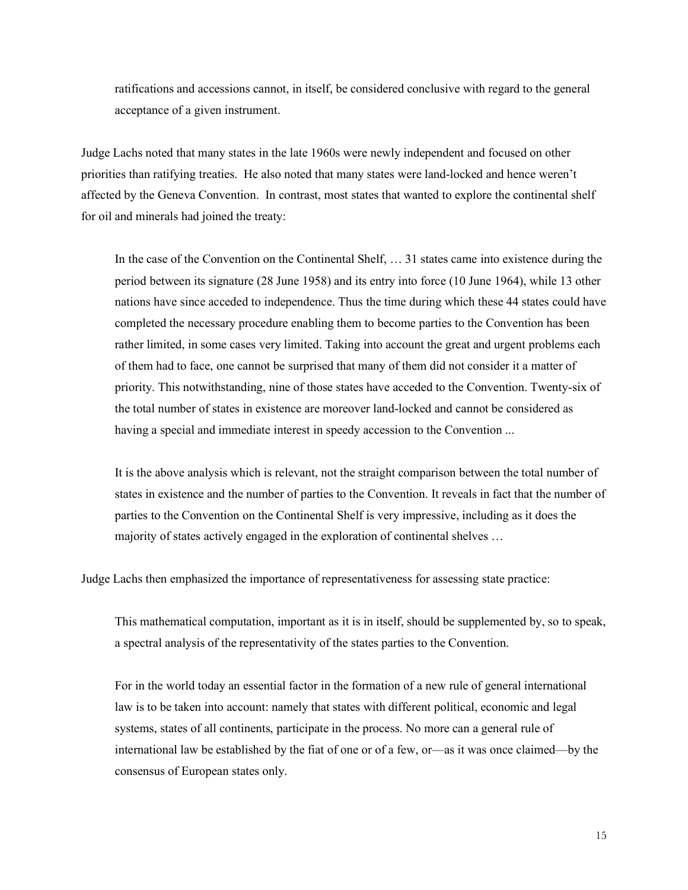ratifications and accessions cannot, in itself, be considered conclusive with regard to the general acceptance of a given instrument.

Judge Lachs noted that many states in the late 1960s were newly independent and focused on other priorities than ratifying treaties. He also noted that many states were land-locked and hence weren't affected by the Geneva Convention. In contrast, most states that wanted to explore the continental shelf for oil and minerals had joined the treaty:

In the case of the Convention on the Continental Shelf, … 31 states came into existence during the period between its signature (28 June 1958) and its entry into force (10 June 1964), while 13 other nations have since acceded to independence. Thus the time during which these 44 states could have completed the necessary procedure enabling them to become parties to the Convention has been rather limited, in some cases very limited. Taking into account the great and urgent problems each of them had to face, one cannot be surprised that many of them did not consider it a matter of priority. This notwithstanding, nine of those states have acceded to the Convention. Twenty-six of the total number of states in existence are moreover land-locked and cannot be considered as having a special and immediate interest in speedy accession to the Convention ...

It is the above analysis which is relevant, not the straight comparison between the total number of states in existence and the number of parties to the Convention. It reveals in fact that the number of parties to the Convention on the Continental Shelf is very impressive, including as it does the majority of states actively engaged in the exploration of continental shelves …

Judge Lachs then emphasized the importance of representativeness for assessing state practice:

This mathematical computation, important as it is in itself, should be supplemented by, so to speak, a spectral analysis of the representativity of the states parties to the Convention.

For in the world today an essential factor in the formation of a new rule of general international law is to be taken into account: namely that states with different political, economic and legal systems, states of all continents, participate in the process. No more can a general rule of international law be established by the fiat of one or of a few, or—as it was once claimed—by the consensus of European states only.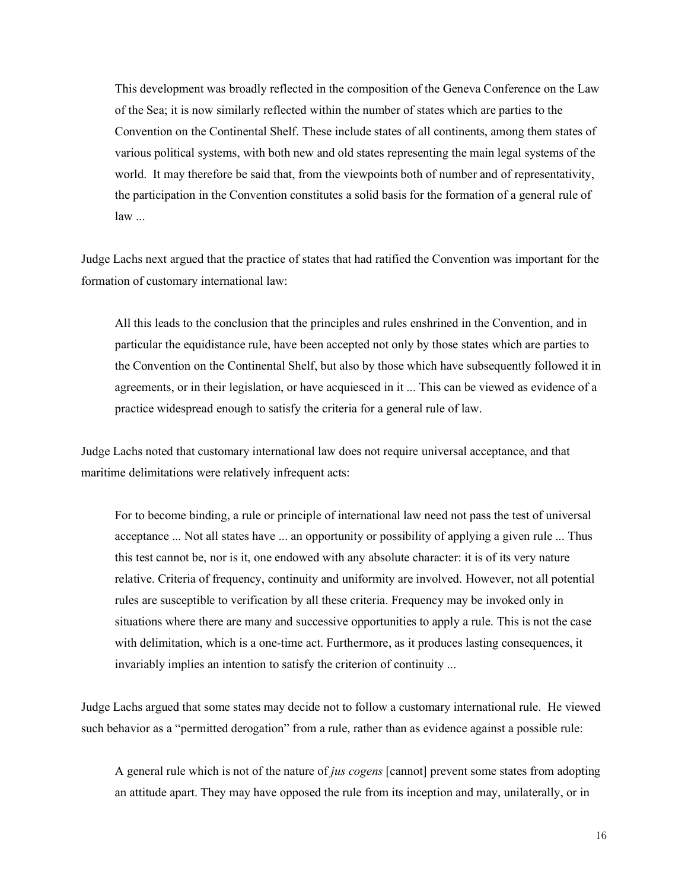This development was broadly reflected in the composition of the Geneva Conference on the Law of the Sea; it is now similarly reflected within the number of states which are parties to the Convention on the Continental Shelf. These include states of all continents, among them states of various political systems, with both new and old states representing the main legal systems of the world. It may therefore be said that, from the viewpoints both of number and of representativity, the participation in the Convention constitutes a solid basis for the formation of a general rule of law ...

Judge Lachs next argued that the practice of states that had ratified the Convention was important for the formation of customary international law:

All this leads to the conclusion that the principles and rules enshrined in the Convention, and in particular the equidistance rule, have been accepted not only by those states which are parties to the Convention on the Continental Shelf, but also by those which have subsequently followed it in agreements, or in their legislation, or have acquiesced in it ... This can be viewed as evidence of a practice widespread enough to satisfy the criteria for a general rule of law.

Judge Lachs noted that customary international law does not require universal acceptance, and that maritime delimitations were relatively infrequent acts:

For to become binding, a rule or principle of international law need not pass the test of universal acceptance ... Not all states have ... an opportunity or possibility of applying a given rule ... Thus this test cannot be, nor is it, one endowed with any absolute character: it is of its very nature relative. Criteria of frequency, continuity and uniformity are involved. However, not all potential rules are susceptible to verification by all these criteria. Frequency may be invoked only in situations where there are many and successive opportunities to apply a rule. This is not the case with delimitation, which is a one-time act. Furthermore, as it produces lasting consequences, it invariably implies an intention to satisfy the criterion of continuity ...

Judge Lachs argued that some states may decide not to follow a customary international rule. He viewed such behavior as a "permitted derogation" from a rule, rather than as evidence against a possible rule:

A general rule which is not of the nature of *jus cogens* [cannot] prevent some states from adopting an attitude apart. They may have opposed the rule from its inception and may, unilaterally, or in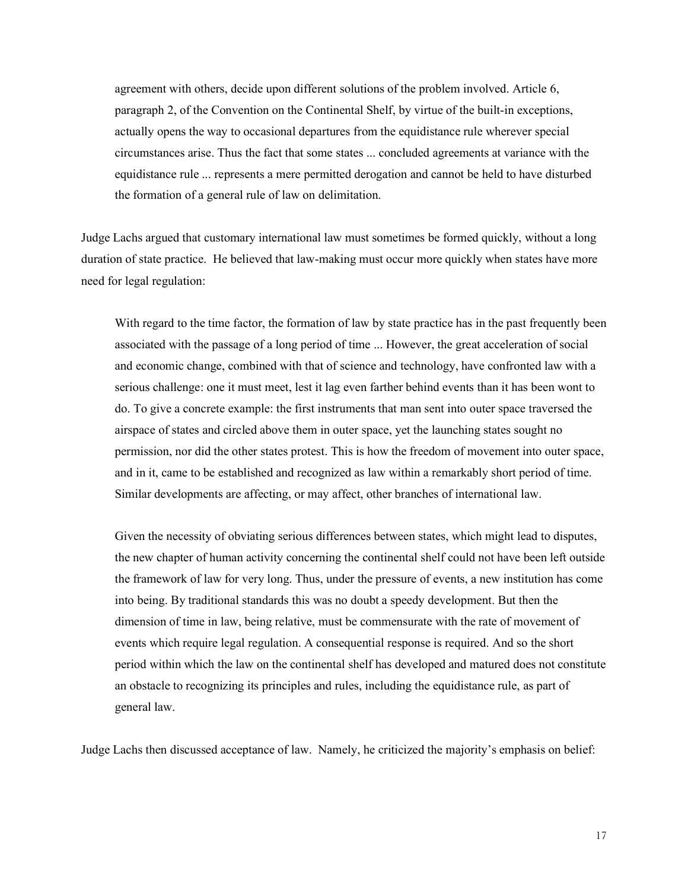agreement with others, decide upon different solutions of the problem involved. Article 6, paragraph 2, of the Convention on the Continental Shelf, by virtue of the built-in exceptions, actually opens the way to occasional departures from the equidistance rule wherever special circumstances arise. Thus the fact that some states ... concluded agreements at variance with the equidistance rule ... represents a mere permitted derogation and cannot be held to have disturbed the formation of a general rule of law on delimitation.

Judge Lachs argued that customary international law must sometimes be formed quickly, without a long duration of state practice. He believed that law-making must occur more quickly when states have more need for legal regulation:

With regard to the time factor, the formation of law by state practice has in the past frequently been associated with the passage of a long period of time ... However, the great acceleration of social and economic change, combined with that of science and technology, have confronted law with a serious challenge: one it must meet, lest it lag even farther behind events than it has been wont to do. To give a concrete example: the first instruments that man sent into outer space traversed the airspace of states and circled above them in outer space, yet the launching states sought no permission, nor did the other states protest. This is how the freedom of movement into outer space, and in it, came to be established and recognized as law within a remarkably short period of time. Similar developments are affecting, or may affect, other branches of international law.

Given the necessity of obviating serious differences between states, which might lead to disputes, the new chapter of human activity concerning the continental shelf could not have been left outside the framework of law for very long. Thus, under the pressure of events, a new institution has come into being. By traditional standards this was no doubt a speedy development. But then the dimension of time in law, being relative, must be commensurate with the rate of movement of events which require legal regulation. A consequential response is required. And so the short period within which the law on the continental shelf has developed and matured does not constitute an obstacle to recognizing its principles and rules, including the equidistance rule, as part of general law.

Judge Lachs then discussed acceptance of law. Namely, he criticized the majority's emphasis on belief: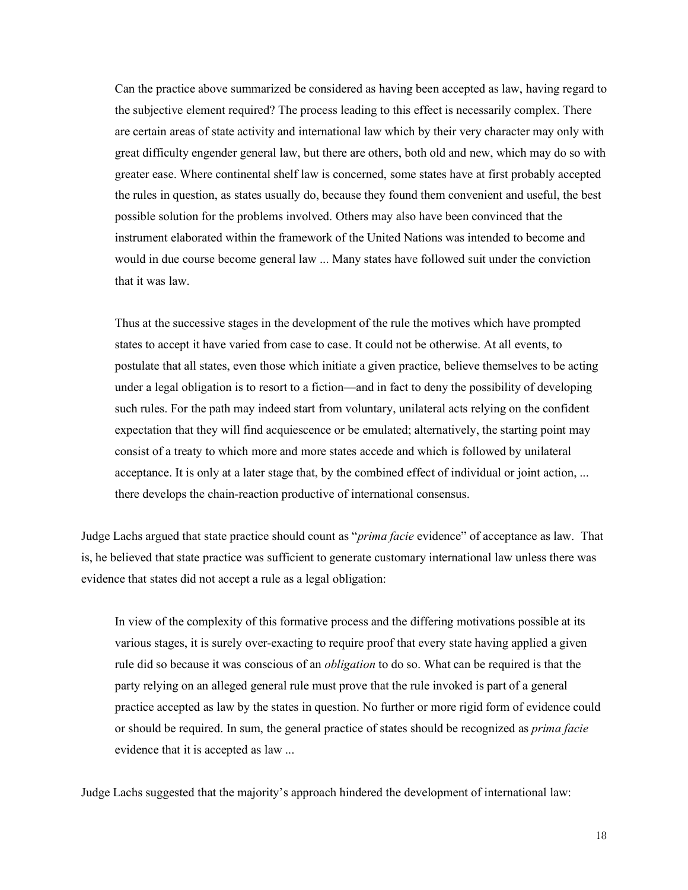Can the practice above summarized be considered as having been accepted as law, having regard to the subjective element required? The process leading to this effect is necessarily complex. There are certain areas of state activity and international law which by their very character may only with great difficulty engender general law, but there are others, both old and new, which may do so with greater ease. Where continental shelf law is concerned, some states have at first probably accepted the rules in question, as states usually do, because they found them convenient and useful, the best possible solution for the problems involved. Others may also have been convinced that the instrument elaborated within the framework of the United Nations was intended to become and would in due course become general law ... Many states have followed suit under the conviction that it was law.

Thus at the successive stages in the development of the rule the motives which have prompted states to accept it have varied from case to case. It could not be otherwise. At all events, to postulate that all states, even those which initiate a given practice, believe themselves to be acting under a legal obligation is to resort to a fiction—and in fact to deny the possibility of developing such rules. For the path may indeed start from voluntary, unilateral acts relying on the confident expectation that they will find acquiescence or be emulated; alternatively, the starting point may consist of a treaty to which more and more states accede and which is followed by unilateral acceptance. It is only at a later stage that, by the combined effect of individual or joint action, ... there develops the chain-reaction productive of international consensus.

Judge Lachs argued that state practice should count as "*prima facie* evidence" of acceptance as law. That is, he believed that state practice was sufficient to generate customary international law unless there was evidence that states did not accept a rule as a legal obligation:

In view of the complexity of this formative process and the differing motivations possible at its various stages, it is surely over-exacting to require proof that every state having applied a given rule did so because it was conscious of an *obligation* to do so. What can be required is that the party relying on an alleged general rule must prove that the rule invoked is part of a general practice accepted as law by the states in question. No further or more rigid form of evidence could or should be required. In sum, the general practice of states should be recognized as *prima facie* evidence that it is accepted as law ...

Judge Lachs suggested that the majority's approach hindered the development of international law: